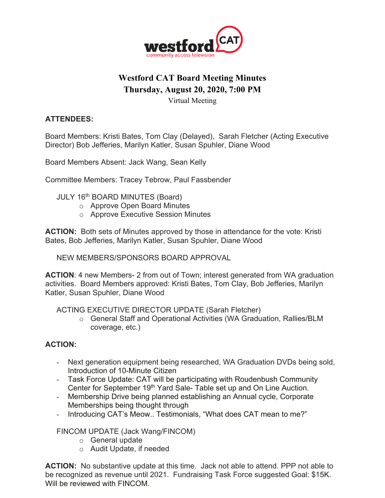

# **Westford CAT Board Meeting Minutes Thursday, August 20, 2020, 7:00 PM**

Virtual Meeting

## **ATTENDEES:**

Board Members: Kristi Bates, Tom Clay (Delayed), Sarah Fletcher (Acting Executive Director) Bob Jefferies, Marilyn Katler, Susan Spuhler, Diane Wood

Board Members Absent: Jack Wang, Sean Kelly

Committee Members: Tracey Tebrow, Paul Fassbender

- JULY 16<sup>th</sup> BOARD MINUTES (Board)
	- o Approve Open Board Minutes
	- o Approve Executive Session Minutes

**ACTION:** Both sets of Minutes approved by those in attendance for the vote: Kristi Bates, Bob Jefferies, Marilyn Katler, Susan Spuhler, Diane Wood

NEW MEMBERS/SPONSORS BOARD APPROVAL

**ACTION**: 4 new Members- 2 from out of Town; interest generated from WA graduation activities. Board Members approved: Kristi Bates, Tom Clay, Bob Jefferies, Marilyn Katler, Susan Spuhler, Diane Wood

ACTING EXECUTIVE DIRECTOR UPDATE (Sarah Fletcher)

o General Staff and Operational Activities (WA Graduation, Rallies/BLM coverage, etc.)

#### **ACTION:**

- Next generation equipment being researched, WA Graduation DVDs being sold, Introduction of 10-Minute Citizen
- Task Force Update: CAT will be participating with Roudenbush Community Center for September 19<sup>th</sup> Yard Sale- Table set up and On Line Auction.
- Membership Drive being planned establishing an Annual cycle, Corporate Memberships being thought through
- Introducing CAT's Meow.. Testimonials, "What does CAT mean to me?"

FINCOM UPDATE (Jack Wang/FINCOM)

- o General update
- o Audit Update, if needed

**ACTION:** No substantive update at this time. Jack not able to attend. PPP not able to be recognized as revenue until 2021. Fundraising Task Force suggested Goal: \$15K. Will be reviewed with FINCOM.